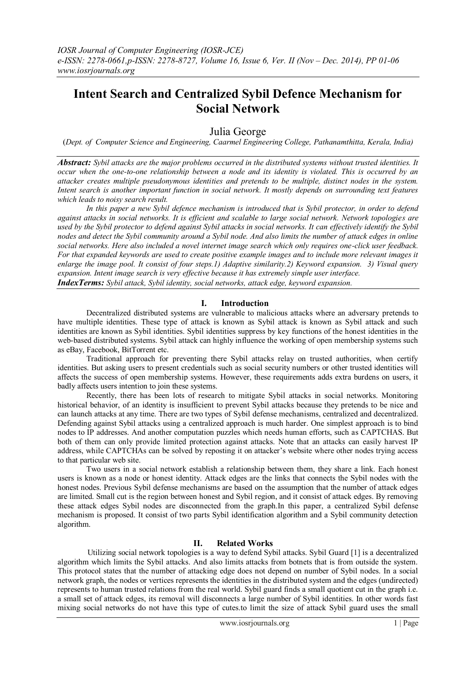# **Intent Search and Centralized Sybil Defence Mechanism for Social Network**

## Julia George

(*Dept. of Computer Science and Engineering, Caarmel Engineering College, Pathanamthitta, Kerala, India)*

*Abstract: Sybil attacks are the major problems occurred in the distributed systems without trusted identities. It occur when the one-to-one relationship between a node and its identity is violated. This is occurred by an attacker creates multiple pseudonymous identities and pretends to be multiple, distinct nodes in the system. Intent search is another important function in social network. It mostly depends on surrounding text features which leads to noisy search result.* 

*In this paper a new Sybil defence mechanism is introduced that is Sybil protector, in order to defend against attacks in social networks. It is efficient and scalable to large social network. Network topologies are used by the Sybil protector to defend against Sybil attacks in social networks. It can effectively identify the Sybil nodes and detect the Sybil community around a Sybil node. And also limits the number of attack edges in online social networks. Here also included a novel internet image search which only requires one-click user feedback. For that expanded keywords are used to create positive example images and to include more relevant images it enlarge the image pool. It consist of four steps.1) Adaptive similarity.2) Keyword expansion. 3) Visual query expansion. Intent image search is very effective because it has extremely simple user interface.*

*IndexTerms: Sybil attack, Sybil identity, social networks, attack edge, keyword expansion.*

### **I. Introduction**

Decentralized distributed systems are vulnerable to malicious attacks where an adversary pretends to have multiple identities. These type of attack is known as Sybil attack is known as Sybil attack and such identities are known as Sybil identities. Sybil identities suppress by key functions of the honest identities in the web-based distributed systems. Sybil attack can highly influence the working of open membership systems such as eBay, Facebook, BitTorrent etc.

Traditional approach for preventing there Sybil attacks relay on trusted authorities, when certify identities. But asking users to present credentials such as social security numbers or other trusted identities will affects the success of open membership systems. However, these requirements adds extra burdens on users, it badly affects users intention to join these systems.

Recently, there has been lots of research to mitigate Sybil attacks in social networks. Monitoring historical behavior, of an identity is insufficient to prevent Sybil attacks because they pretends to be nice and can launch attacks at any time. There are two types of Sybil defense mechanisms, centralized and decentralized. Defending against Sybil attacks using a centralized approach is much harder. One simplest approach is to bind nodes to IP addresses. And another computation puzzles which needs human efforts, such as CAPTCHAS. But both of them can only provide limited protection against attacks. Note that an attacks can easily harvest IP address, while CAPTCHAs can be solved by reposting it on attacker"s website where other nodes trying access to that particular web site.

Two users in a social network establish a relationship between them, they share a link. Each honest users is known as a node or honest identity. Attack edges are the links that connects the Sybil nodes with the honest nodes. Previous Sybil defense mechanisms are based on the assumption that the number of attack edges are limited. Small cut is the region between honest and Sybil region, and it consist of attack edges. By removing these attack edges Sybil nodes are disconnected from the graph.In this paper, a centralized Sybil defense mechanism is proposed. It consist of two parts Sybil identification algorithm and a Sybil community detection algorithm.

### **II. Related Works**

 Utilizing social network topologies is a way to defend Sybil attacks. Sybil Guard [1] is a decentralized algorithm which limits the Sybil attacks. And also limits attacks from botnets that is from outside the system. This protocol states that the number of attacking edge does not depend on number of Sybil nodes. In a social network graph, the nodes or vertices represents the identities in the distributed system and the edges (undirected) represents to human trusted relations from the real world. Sybil guard finds a small quotient cut in the graph i.e. a small set of attack edges, its removal will disconnects a large number of Sybil identities. In other words fast mixing social networks do not have this type of cutes.to limit the size of attack Sybil guard uses the small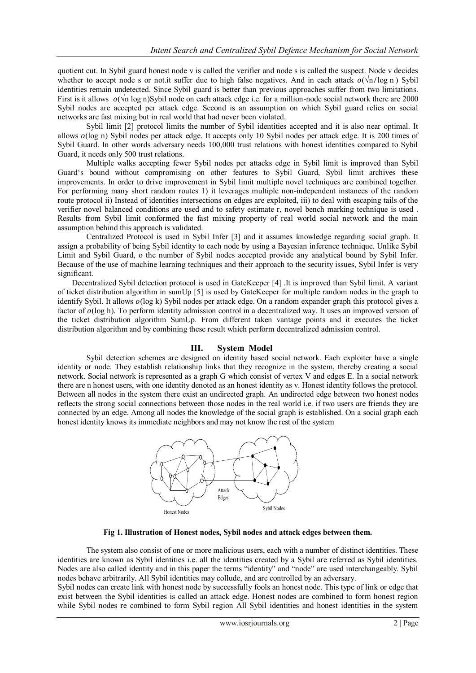quotient cut. In Sybil guard honest node v is called the verifier and node s is called the suspect. Node v decides whether to accept node s or not.it suffer due to high false negatives. And in each attack  $o(\sqrt{n}/\log n)$  Sybil identities remain undetected. Since Sybil guard is better than previous approaches suffer from two limitations. First is it allows  $o(\sqrt{n} \log n)$ Sybil node on each attack edge i.e. for a million-node social network there are 2000 Sybil nodes are accepted per attack edge. Second is an assumption on which Sybil guard relies on social networks are fast mixing but in real world that had never been violated.

Sybil limit [2] protocol limits the number of Sybil identities accepted and it is also near optimal. It allows  $o(\log n)$  Sybil nodes per attack edge. It accepts only 10 Sybil nodes per attack edge. It is 200 times of Sybil Guard. In other words adversary needs 100,000 trust relations with honest identities compared to Sybil Guard, it needs only 500 trust relations.

Multiple walks accepting fewer Sybil nodes per attacks edge in Sybil limit is improved than Sybil Guard"s bound without compromising on other features to Sybil Guard, Sybil limit archives these improvements. In order to drive improvement in Sybil limit multiple novel techniques are combined together. For performing many short random routes 1) it leverages multiple non-independent instances of the random route protocol ii) Instead of identities intersections on edges are exploited, iii) to deal with escaping tails of the verifier novel balanced conditions are used and to safety estimate r, novel bench marking technique is used . Results from Sybil limit conformed the fast mixing property of real world social network and the main assumption behind this approach is validated.

Centralized Protocol is used in Sybil Infer [3] and it assumes knowledge regarding social graph. It assign a probability of being Sybil identity to each node by using a Bayesian inference technique. Unlike Sybil Limit and Sybil Guard, o the number of Sybil nodes accepted provide any analytical bound by Sybil Infer. Because of the use of machine learning techniques and their approach to the security issues, Sybil Infer is very significant.

Decentralized Sybil detection protocol is used in GateKeeper [4] .It is improved than Sybil limit. A variant of ticket distribution algorithm in sumUp [5] is used by GateKeeper for multiple random nodes in the graph to identify Sybil. It allows  $o(\log k)$  Sybil nodes per attack edge. On a random expander graph this protocol gives a factor of  $o(\log h)$ . To perform identity admission control in a decentralized way. It uses an improved version of the ticket distribution algorithm SumUp. From different taken vantage points and it executes the ticket distribution algorithm and by combining these result which perform decentralized admission control.

### **III. System Model**

Sybil detection schemes are designed on identity based social network. Each exploiter have a single identity or node. They establish relationship links that they recognize in the system, thereby creating a social network. Social network is represented as a graph G which consist of vertex V and edges E. In a social network there are n honest users, with one identity denoted as an honest identity as v. Honest identity follows the protocol. Between all nodes in the system there exist an undirected graph. An undirected edge between two honest nodes reflects the strong social connections between those nodes in the real world i.e. if two users are friends they are connected by an edge. Among all nodes the knowledge of the social graph is established. On a social graph each honest identity knows its immediate neighbors and may not know the rest of the system



**Fig 1. Illustration of Honest nodes, Sybil nodes and attack edges between them.**

The system also consist of one or more malicious users, each with a number of distinct identities. These identities are known as Sybil identities i.e. all the identities created by a Sybil are referred as Sybil identities. Nodes are also called identity and in this paper the terms "identity" and "node" are used interchangeably. Sybil nodes behave arbitrarily. All Sybil identities may collude, and are controlled by an adversary.

Sybil nodes can create link with honest node by successfully fools an honest node. This type of link or edge that exist between the Sybil identities is called an attack edge. Honest nodes are combined to form honest region while Sybil nodes re combined to form Sybil region All Sybil identities and honest identities in the system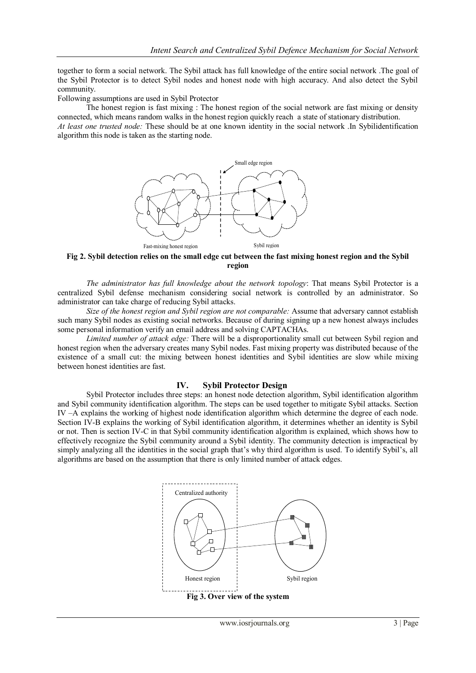together to form a social network. The Sybil attack has full knowledge of the entire social network .The goal of the Sybil Protector is to detect Sybil nodes and honest node with high accuracy. And also detect the Sybil community.

Following assumptions are used in Sybil Protector

The honest region is fast mixing : The honest region of the social network are fast mixing or density connected, which means random walks in the honest region quickly reach a state of stationary distribution. *At least one trusted node:* These should be at one known identity in the social network .In Sybilidentification algorithm this node is taken as the starting node.



**Fig 2. Sybil detection relies on the small edge cut between the fast mixing honest region and the Sybil region**

*The administrator has full knowledge about the network topology*: That means Sybil Protector is a centralized Sybil defense mechanism considering social network is controlled by an administrator. So administrator can take charge of reducing Sybil attacks.

*Size of the honest region and Sybil region are not comparable:* Assume that adversary cannot establish such many Sybil nodes as existing social networks. Because of during signing up a new honest always includes some personal information verify an email address and solving CAPTACHAs.

*Limited number of attack edge:* There will be a disproportionality small cut between Sybil region and honest region when the adversary creates many Sybil nodes. Fast mixing property was distributed because of the existence of a small cut: the mixing between honest identities and Sybil identities are slow while mixing between honest identities are fast.

#### **IV. Sybil Protector Design**

Sybil Protector includes three steps: an honest node detection algorithm, Sybil identification algorithm and Sybil community identification algorithm. The steps can be used together to mitigate Sybil attacks. Section IV –A explains the working of highest node identification algorithm which determine the degree of each node. Section IV-B explains the working of Sybil identification algorithm, it determines whether an identity is Sybil or not. Then is section IV-C in that Sybil community identification algorithm is explained, which shows how to effectively recognize the Sybil community around a Sybil identity. The community detection is impractical by simply analyzing all the identities in the social graph that's why third algorithm is used. To identify Sybil's, all algorithms are based on the assumption that there is only limited number of attack edges.

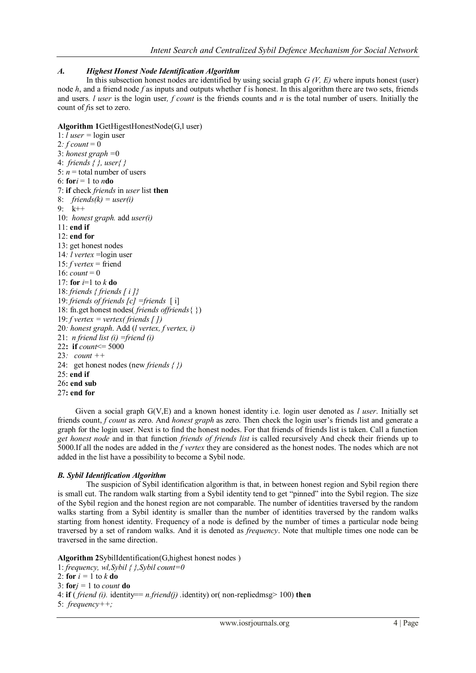## *A. Highest Honest Node Identification Algorithm*

In this subsection honest nodes are identified by using social graph *G (V, E)* where inputs honest (user) node *h*, and a friend node *f* as inputs and outputs whether f is honest. In this algorithm there are two sets, friends and users*. l user* is the login user*, f count* is the friends counts and *n* is the total number of users. Initially the count of *f*is set to zero.

## **Algorithm 1**GetHigestHonestNode(G,l user)

1:  $l$  *user* =  $login$  user 2*:*  $f count = 0$ 3: *honest graph =*0 4: *friends { }, user{ }* 5:  $n =$  total number of users 6:  $$ 7: **if** check *friends* in *user* list **then** 8: *friends(k) = user(i)* 9: k++ 10: *honest graph.* add *user(i)* 11: **end if** 12: **end for** 13: get honest nodes 14*: l vertex* =login user 15: *f vertex* = friend 16:  $count = 0$ 17: **for**  $i=1$  to  $k$  **do** 18: *friends { friends [ i ]}* 19: *friends of friends [c] =friends* [ i] 18: fn.get honest nodes( *friends offriends*{ }) 19: *f vertex = vertex( friends [ ])* 20*: honest graph*. Add (*l vertex, f vertex, i)* 21: *n friend list (i) =friend (i)* 22**: if** *count*<= 5000 23*: count ++* 24: get honest nodes (new *friends { })* 25: **end if** 26**: end sub** 27**: end for**

 Given a social graph G(V,E) and a known honest identity i.e. login user denoted as *l user*. Initially set friends count, *f count* as zero. And *honest graph* as zero. Then check the login user"s friends list and generate a graph for the login user. Next is to find the honest nodes. For that friends of friends list is taken. Call a function *get honest node* and in that function *friends of friends list* is called recursively And check their friends up to 5000.If all the nodes are added in the *f vertex* they are considered as the honest nodes. The nodes which are not added in the list have a possibility to become a Sybil node.

## *B. Sybil Identification Algorithm*

The suspicion of Sybil identification algorithm is that, in between honest region and Sybil region there is small cut. The random walk starting from a Sybil identity tend to get "pinned" into the Sybil region. The size of the Sybil region and the honest region are not comparable. The number of identities traversed by the random walks starting from a Sybil identity is smaller than the number of identities traversed by the random walks starting from honest identity. Frequency of a node is defined by the number of times a particular node being traversed by a set of random walks. And it is denoted as *frequency*. Note that multiple times one node can be traversed in the same direction.

**Algorithm 2**SybilIdentification(G,highest honest nodes )

1: *frequency, wl,Sybil { },Sybil count=0*

```
2: for i = 1 to k do
```

```
3: fori = 1 to count do
4: if ( friend (i). identity== n.friend(j) .identity) or( non-repliedmsg> 100) then
```
5: *frequency++;*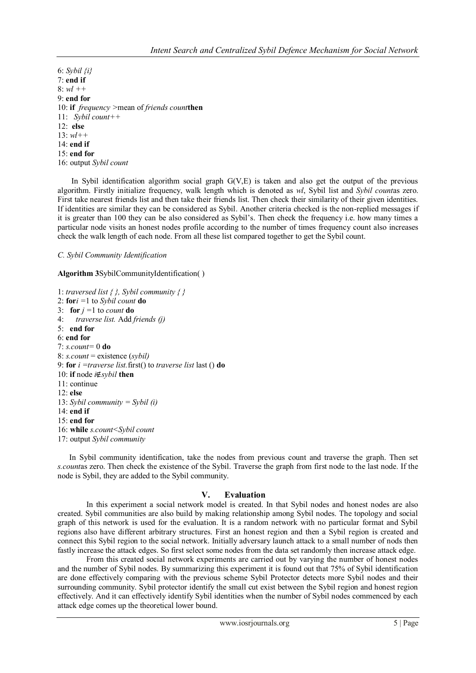6: *Sybil {i}* 7: **end if** 8: *wl ++* 9: **end for** 10: **if** *frequency >*mean of *friends count***then** 11: *Sybil count++* 12: **else** 13: *wl++* 14: **end if** 15: **end for**

16: output *Sybil count*

 In Sybil identification algorithm social graph G(V,E) is taken and also get the output of the previous algorithm. Firstly initialize frequency, walk length which is denoted as *wl*, Sybil list and *Sybil count*as zero. First take nearest friends list and then take their friends list. Then check their similarity of their given identities. If identities are similar they can be considered as Sybil. Another criteria checked is the non-replied messages if it is greater than 100 they can be also considered as Sybil"s. Then check the frequency i.e. how many times a particular node visits an honest nodes profile according to the number of times frequency count also increases check the walk length of each node. From all these list compared together to get the Sybil count.

#### *C. Sybil Community Identification*

**Algorithm 3**SybilCommunityIdentification( )

1: *traversed list { }, Sybil community { }* 2: **for***i =*1 to *Sybil count* **do** 3: **for**  $j = 1$  to *count* **do** 4: *traverse list.* Add *friends (j)* 5: **end for** 6: **end for** 7: *s.count=* 0 **do** 8: *s.count* = existence (*sybil)* 9: **for** *i =traverse list.*first() to *traverse list* last () **do** 10: **if** node *i*∉*sybil* **then** 11: continue 12: **else** 13: *Sybil community = Sybil (i)* 14: **end if** 15: **end for** 16: **while** *s.count<Sybil count* 17: output *Sybil community*

 In Sybil community identification, take the nodes from previous count and traverse the graph. Then set *s.count*as zero. Then check the existence of the Sybil. Traverse the graph from first node to the last node. If the node is Sybil, they are added to the Sybil community.

#### **V. Evaluation**

In this experiment a social network model is created. In that Sybil nodes and honest nodes are also created. Sybil communities are also build by making relationship among Sybil nodes. The topology and social graph of this network is used for the evaluation. It is a random network with no particular format and Sybil regions also have different arbitrary structures. First an honest region and then a Sybil region is created and connect this Sybil region to the social network. Initially adversary launch attack to a small number of nods then fastly increase the attack edges. So first select some nodes from the data set randomly then increase attack edge.

From this created social network experiments are carried out by varying the number of honest nodes and the number of Sybil nodes. By summarizing this experiment it is found out that 75% of Sybil identification are done effectively comparing with the previous scheme Sybil Protector detects more Sybil nodes and their surrounding community. Sybil protector identify the small cut exist between the Sybil region and honest region effectively. And it can effectively identify Sybil identities when the number of Sybil nodes commenced by each attack edge comes up the theoretical lower bound.